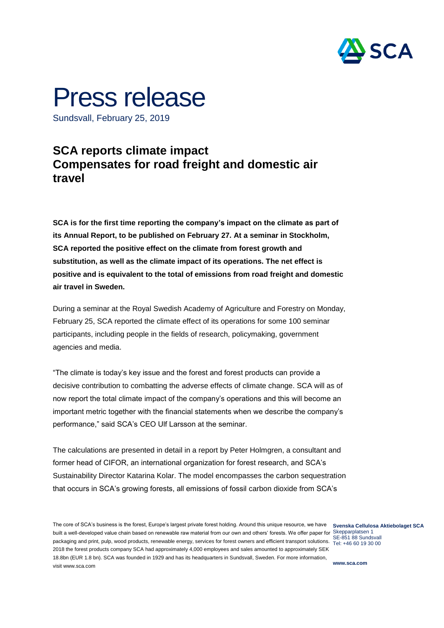

## Press release

Sundsvall, February 25, 2019

## **SCA reports climate impact Compensates for road freight and domestic air travel**

**SCA is for the first time reporting the company's impact on the climate as part of its Annual Report, to be published on February 27. At a seminar in Stockholm, SCA reported the positive effect on the climate from forest growth and substitution, as well as the climate impact of its operations. The net effect is positive and is equivalent to the total of emissions from road freight and domestic air travel in Sweden.**

During a seminar at the Royal Swedish Academy of Agriculture and Forestry on Monday, February 25, SCA reported the climate effect of its operations for some 100 seminar participants, including people in the fields of research, policymaking, government agencies and media.

"The climate is today's key issue and the forest and forest products can provide a decisive contribution to combatting the adverse effects of climate change. SCA will as of now report the total climate impact of the company's operations and this will become an important metric together with the financial statements when we describe the company's performance," said SCA's CEO Ulf Larsson at the seminar.

The calculations are presented in detail in a report by Peter Holmgren, a consultant and former head of CIFOR, an international organization for forest research, and SCA's Sustainability Director Katarina Kolar. The model encompasses the carbon sequestration that occurs in SCA's growing forests, all emissions of fossil carbon dioxide from SCA's

The core of SCA's business is the forest, Europe's largest private forest holding. Around this unique resource, we have **Svenska Cellulosa Aktiebolaget SCA** built a well-developed value chain based on renewable raw material from our own and others' forests. We offer paper for Skepparplatsen 1 SE-851 88 Sundsvall<br>packaging and print, pulp, wood products, renewable energy, services for forest owners and efficient transport solutions. جوان حرامته المعرفي المعرفية 2018 the forest products company SCA had approximately 4,000 employees and sales amounted to approximately SEK 18.8bn (EUR 1.8 bn). SCA was founded in 1929 and has its headquarters in Sundsvall, Sweden. For more information, visit www.sca.com

Tel: +46 60 19 30 00

**www.sca.com**